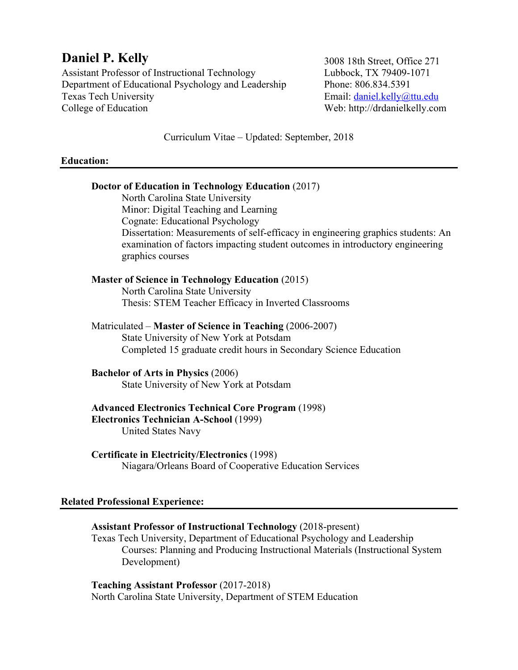# **Daniel P. Kelly**

Assistant Professor of Instructional Technology Department of Educational Psychology and Leadership Texas Tech University College of Education

3008 18th Street, Office 271 Lubbock, TX 79409-1071 Phone: 806.834.5391 Email: daniel.kelly@ttu.edu Web: http://drdanielkelly.com

Curriculum Vitae – Updated: September, 2018

## **Education:**

# **Doctor of Education in Technology Education** (2017) North Carolina State University Minor: Digital Teaching and Learning Cognate: Educational Psychology Dissertation: Measurements of self-efficacy in engineering graphics students: An examination of factors impacting student outcomes in introductory engineering graphics courses **Master of Science in Technology Education** (2015) North Carolina State University Thesis: STEM Teacher Efficacy in Inverted Classrooms Matriculated – **Master of Science in Teaching** (2006-2007) State University of New York at Potsdam Completed 15 graduate credit hours in Secondary Science Education **Bachelor of Arts in Physics** (2006) State University of New York at Potsdam **Advanced Electronics Technical Core Program** (1998) **Electronics Technician A-School** (1999) United States Navy **Certificate in Electricity/Electronics** (1998) Niagara/Orleans Board of Cooperative Education Services **Related Professional Experience: Assistant Professor of Instructional Technology** (2018-present) Texas Tech University, Department of Educational Psychology and Leadership Courses: Planning and Producing Instructional Materials (Instructional System Development) **Teaching Assistant Professor** (2017-2018)

North Carolina State University, Department of STEM Education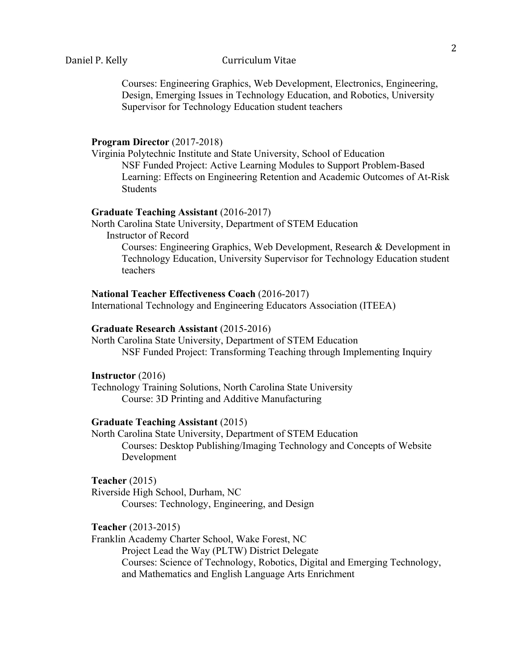Courses: Engineering Graphics, Web Development, Electronics, Engineering, Design, Emerging Issues in Technology Education, and Robotics, University Supervisor for Technology Education student teachers

## **Program Director** (2017-2018)

Virginia Polytechnic Institute and State University, School of Education NSF Funded Project: Active Learning Modules to Support Problem-Based Learning: Effects on Engineering Retention and Academic Outcomes of At-Risk **Students** 

## **Graduate Teaching Assistant** (2016-2017)

North Carolina State University, Department of STEM Education Instructor of Record

> Courses: Engineering Graphics, Web Development, Research & Development in Technology Education, University Supervisor for Technology Education student teachers

## **National Teacher Effectiveness Coach** (2016-2017)

International Technology and Engineering Educators Association (ITEEA)

### **Graduate Research Assistant** (2015-2016)

North Carolina State University, Department of STEM Education NSF Funded Project: Transforming Teaching through Implementing Inquiry

#### **Instructor** (2016)

Technology Training Solutions, North Carolina State University Course: 3D Printing and Additive Manufacturing

#### **Graduate Teaching Assistant** (2015)

North Carolina State University, Department of STEM Education Courses: Desktop Publishing/Imaging Technology and Concepts of Website Development

## **Teacher** (2015)

Riverside High School, Durham, NC Courses: Technology, Engineering, and Design

## **Teacher** (2013-2015)

Franklin Academy Charter School, Wake Forest, NC Project Lead the Way (PLTW) District Delegate Courses: Science of Technology, Robotics, Digital and Emerging Technology, and Mathematics and English Language Arts Enrichment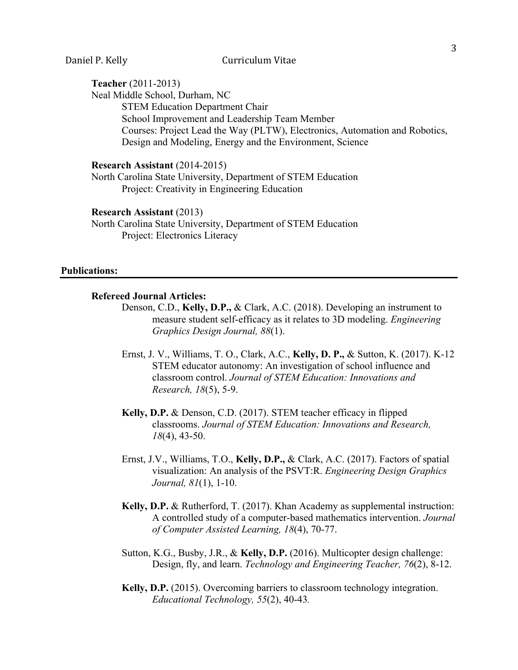# **Teacher** (2011-2013)

Neal Middle School, Durham, NC STEM Education Department Chair School Improvement and Leadership Team Member Courses: Project Lead the Way (PLTW), Electronics, Automation and Robotics, Design and Modeling, Energy and the Environment, Science

#### **Research Assistant** (2014-2015)

North Carolina State University, Department of STEM Education Project: Creativity in Engineering Education

#### **Research Assistant** (2013)

North Carolina State University, Department of STEM Education Project: Electronics Literacy

## **Publications:**

## **Refereed Journal Articles:**

- Denson, C.D., **Kelly, D.P.,** & Clark, A.C. (2018). Developing an instrument to measure student self-efficacy as it relates to 3D modeling. *Engineering Graphics Design Journal, 88*(1).
- Ernst, J. V., Williams, T. O., Clark, A.C., **Kelly, D. P.,** & Sutton, K. (2017). K-12 STEM educator autonomy: An investigation of school influence and classroom control. *Journal of STEM Education: Innovations and Research, 18*(5), 5-9.
- **Kelly, D.P.** & Denson, C.D. (2017). STEM teacher efficacy in flipped classrooms. *Journal of STEM Education: Innovations and Research, 18*(4), 43-50.
- Ernst, J.V., Williams, T.O., **Kelly, D.P.,** & Clark, A.C. (2017). Factors of spatial visualization: An analysis of the PSVT:R. *Engineering Design Graphics Journal, 81*(1), 1-10.
- **Kelly, D.P.** & Rutherford, T. (2017). Khan Academy as supplemental instruction: A controlled study of a computer-based mathematics intervention. *Journal of Computer Assisted Learning, 18*(4), 70-77.
- Sutton, K.G., Busby, J.R., & **Kelly, D.P.** (2016). Multicopter design challenge: Design, fly, and learn. *Technology and Engineering Teacher, 76*(2), 8-12.
- **Kelly, D.P.** (2015). Overcoming barriers to classroom technology integration. *Educational Technology, 55*(2), 40-43*.*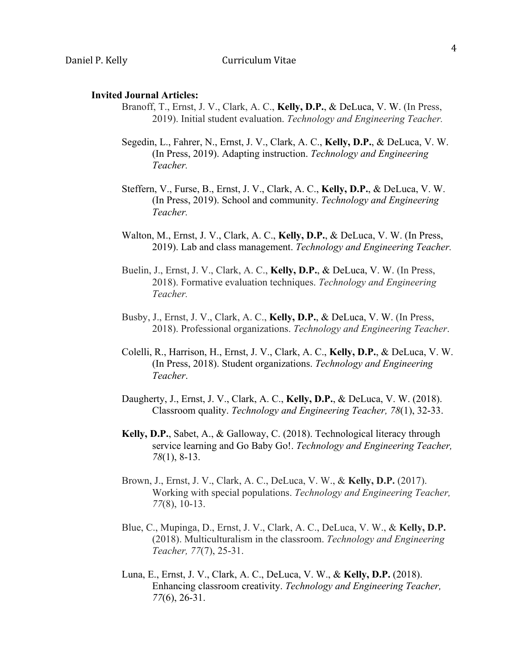#### **Invited Journal Articles:**

- Branoff, T., Ernst, J. V., Clark, A. C., **Kelly, D.P.**, & DeLuca, V. W. (In Press, 2019). Initial student evaluation. *Technology and Engineering Teacher.*
- Segedin, L., Fahrer, N., Ernst, J. V., Clark, A. C., **Kelly, D.P.**, & DeLuca, V. W. (In Press, 2019). Adapting instruction. *Technology and Engineering Teacher.*
- Steffern, V., Furse, B., Ernst, J. V., Clark, A. C., **Kelly, D.P.**, & DeLuca, V. W. (In Press, 2019). School and community. *Technology and Engineering Teacher.*
- Walton, M., Ernst, J. V., Clark, A. C., **Kelly, D.P.**, & DeLuca, V. W. (In Press, 2019). Lab and class management. *Technology and Engineering Teacher.*
- Buelin, J., Ernst, J. V., Clark, A. C., **Kelly, D.P.**, & DeLuca, V. W. (In Press, 2018). Formative evaluation techniques. *Technology and Engineering Teacher.*
- Busby, J., Ernst, J. V., Clark, A. C., **Kelly, D.P.**, & DeLuca, V. W. (In Press, 2018). Professional organizations. *Technology and Engineering Teacher*.
- Colelli, R., Harrison, H., Ernst, J. V., Clark, A. C., **Kelly, D.P.**, & DeLuca, V. W. (In Press, 2018). Student organizations. *Technology and Engineering Teacher*.
- Daugherty, J., Ernst, J. V., Clark, A. C., **Kelly, D.P.**, & DeLuca, V. W. (2018). Classroom quality. *Technology and Engineering Teacher, 78*(1), 32-33.
- **Kelly, D.P.**, Sabet, A., & Galloway, C. (2018). Technological literacy through service learning and Go Baby Go!. *Technology and Engineering Teacher, 78*(1), 8-13.
- Brown, J., Ernst, J. V., Clark, A. C., DeLuca, V. W., & **Kelly, D.P.** (2017). Working with special populations. *Technology and Engineering Teacher, 77*(8), 10-13.
- Blue, C., Mupinga, D., Ernst, J. V., Clark, A. C., DeLuca, V. W., & **Kelly, D.P.** (2018). Multiculturalism in the classroom. *Technology and Engineering Teacher, 77*(7), 25-31.
- Luna, E., Ernst, J. V., Clark, A. C., DeLuca, V. W., & **Kelly, D.P.** (2018). Enhancing classroom creativity. *Technology and Engineering Teacher, 77*(6), 26-31.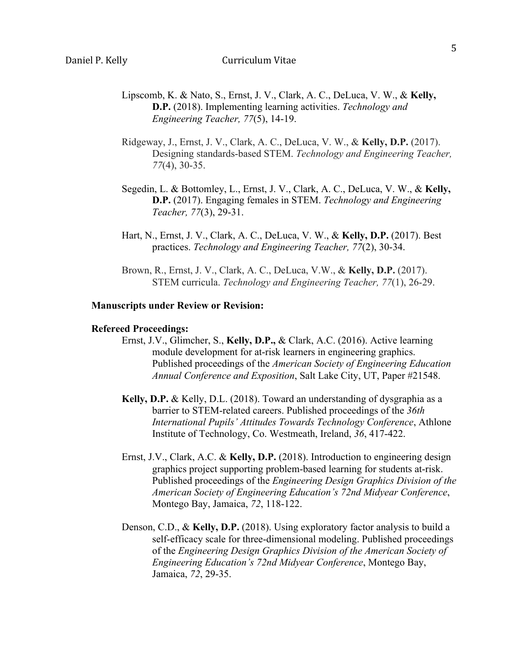- Lipscomb, K. & Nato, S., Ernst, J. V., Clark, A. C., DeLuca, V. W., & **Kelly, D.P.** (2018). Implementing learning activities. *Technology and Engineering Teacher, 77*(5), 14-19.
- Ridgeway, J., Ernst, J. V., Clark, A. C., DeLuca, V. W., & **Kelly, D.P.** (2017). Designing standards-based STEM. *Technology and Engineering Teacher, 77*(4), 30-35.
- Segedin, L. & Bottomley, L., Ernst, J. V., Clark, A. C., DeLuca, V. W., & **Kelly, D.P.** (2017). Engaging females in STEM. *Technology and Engineering Teacher, 77*(3), 29-31.
- Hart, N., Ernst, J. V., Clark, A. C., DeLuca, V. W., & **Kelly, D.P.** (2017). Best practices. *Technology and Engineering Teacher, 77*(2), 30-34.
- Brown, R., Ernst, J. V., Clark, A. C., DeLuca, V.W., & **Kelly, D.P.** (2017). STEM curricula. *Technology and Engineering Teacher, 77*(1), 26-29.

#### **Manuscripts under Review or Revision:**

#### **Refereed Proceedings:**

- Ernst, J.V., Glimcher, S., **Kelly, D.P.,** & Clark, A.C. (2016). Active learning module development for at-risk learners in engineering graphics. Published proceedings of the *American Society of Engineering Education Annual Conference and Exposition*, Salt Lake City, UT, Paper #21548.
- **Kelly, D.P.** & Kelly, D.L. (2018). Toward an understanding of dysgraphia as a barrier to STEM-related careers. Published proceedings of the *36th International Pupils' Attitudes Towards Technology Conference*, Athlone Institute of Technology, Co. Westmeath, Ireland, *36*, 417-422.
- Ernst, J.V., Clark, A.C. & **Kelly, D.P.** (2018). Introduction to engineering design graphics project supporting problem-based learning for students at-risk. Published proceedings of the *Engineering Design Graphics Division of the American Society of Engineering Education's 72nd Midyear Conference*, Montego Bay, Jamaica, *72*, 118-122.
- Denson, C.D., & **Kelly, D.P.** (2018). Using exploratory factor analysis to build a self-efficacy scale for three-dimensional modeling. Published proceedings of the *Engineering Design Graphics Division of the American Society of Engineering Education's 72nd Midyear Conference*, Montego Bay, Jamaica, *72*, 29-35.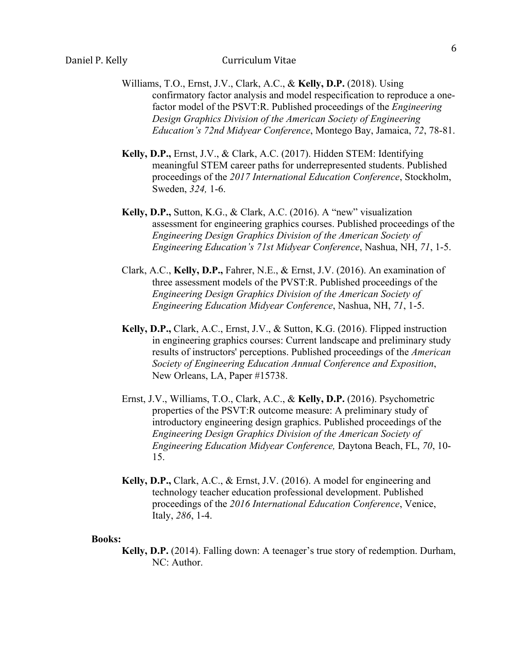- Williams, T.O., Ernst, J.V., Clark, A.C., & **Kelly, D.P.** (2018). Using confirmatory factor analysis and model respecification to reproduce a onefactor model of the PSVT:R. Published proceedings of the *Engineering Design Graphics Division of the American Society of Engineering Education's 72nd Midyear Conference*, Montego Bay, Jamaica, *72*, 78-81.
- **Kelly, D.P.,** Ernst, J.V., & Clark, A.C. (2017). Hidden STEM: Identifying meaningful STEM career paths for underrepresented students. Published proceedings of the *2017 International Education Conference*, Stockholm, Sweden, *324,* 1-6.
- **Kelly, D.P.,** Sutton, K.G., & Clark, A.C. (2016). A "new" visualization assessment for engineering graphics courses. Published proceedings of the *Engineering Design Graphics Division of the American Society of Engineering Education's 71st Midyear Conference*, Nashua, NH, *71*, 1-5.
- Clark, A.C., **Kelly, D.P.,** Fahrer, N.E., & Ernst, J.V. (2016). An examination of three assessment models of the PVST:R. Published proceedings of the *Engineering Design Graphics Division of the American Society of Engineering Education Midyear Conference*, Nashua, NH, *71*, 1-5.
- **Kelly, D.P.,** Clark, A.C., Ernst, J.V., & Sutton, K.G. (2016). Flipped instruction in engineering graphics courses: Current landscape and preliminary study results of instructors' perceptions. Published proceedings of the *American Society of Engineering Education Annual Conference and Exposition*, New Orleans, LA, Paper #15738.
- Ernst, J.V., Williams, T.O., Clark, A.C., & **Kelly, D.P.** (2016). Psychometric properties of the PSVT:R outcome measure: A preliminary study of introductory engineering design graphics. Published proceedings of the *Engineering Design Graphics Division of the American Society of Engineering Education Midyear Conference,* Daytona Beach, FL, *70*, 10- 15.
- **Kelly, D.P.,** Clark, A.C., & Ernst, J.V. (2016). A model for engineering and technology teacher education professional development. Published proceedings of the *2016 International Education Conference*, Venice, Italy, *286*, 1-4.

#### **Books:**

**Kelly, D.P.** (2014). Falling down: A teenager's true story of redemption. Durham, NC: Author.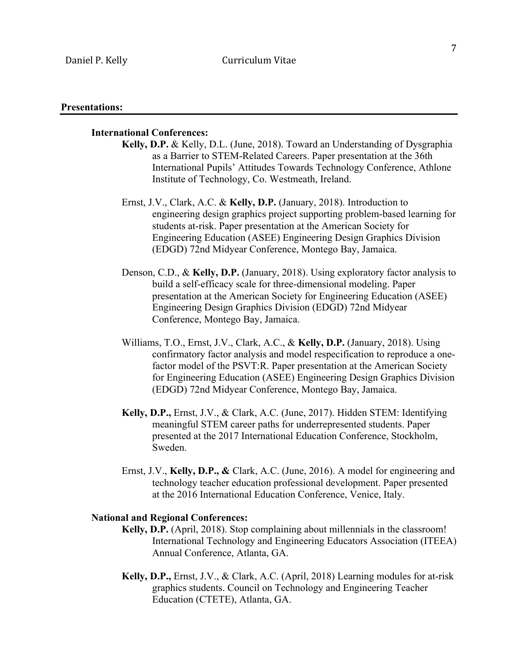#### **Presentations:**

## **International Conferences:**

- **Kelly, D.P.** & Kelly, D.L. (June, 2018). Toward an Understanding of Dysgraphia as a Barrier to STEM-Related Careers. Paper presentation at the 36th International Pupils' Attitudes Towards Technology Conference, Athlone Institute of Technology, Co. Westmeath, Ireland.
- Ernst, J.V., Clark, A.C. & **Kelly, D.P.** (January, 2018). Introduction to engineering design graphics project supporting problem-based learning for students at-risk. Paper presentation at the American Society for Engineering Education (ASEE) Engineering Design Graphics Division (EDGD) 72nd Midyear Conference, Montego Bay, Jamaica.
- Denson, C.D., & **Kelly, D.P.** (January, 2018). Using exploratory factor analysis to build a self-efficacy scale for three-dimensional modeling. Paper presentation at the American Society for Engineering Education (ASEE) Engineering Design Graphics Division (EDGD) 72nd Midyear Conference, Montego Bay, Jamaica.
- Williams, T.O., Ernst, J.V., Clark, A.C., & **Kelly, D.P.** (January, 2018). Using confirmatory factor analysis and model respecification to reproduce a onefactor model of the PSVT:R. Paper presentation at the American Society for Engineering Education (ASEE) Engineering Design Graphics Division (EDGD) 72nd Midyear Conference, Montego Bay, Jamaica.
- **Kelly, D.P.,** Ernst, J.V., & Clark, A.C. (June, 2017). Hidden STEM: Identifying meaningful STEM career paths for underrepresented students. Paper presented at the 2017 International Education Conference, Stockholm, Sweden.
- Ernst, J.V., **Kelly, D.P., &** Clark, A.C. (June, 2016). A model for engineering and technology teacher education professional development. Paper presented at the 2016 International Education Conference, Venice, Italy.

#### **National and Regional Conferences:**

- **Kelly, D.P.** (April, 2018). Stop complaining about millennials in the classroom! International Technology and Engineering Educators Association (ITEEA) Annual Conference, Atlanta, GA.
- **Kelly, D.P.,** Ernst, J.V., & Clark, A.C. (April, 2018) Learning modules for at-risk graphics students. Council on Technology and Engineering Teacher Education (CTETE), Atlanta, GA.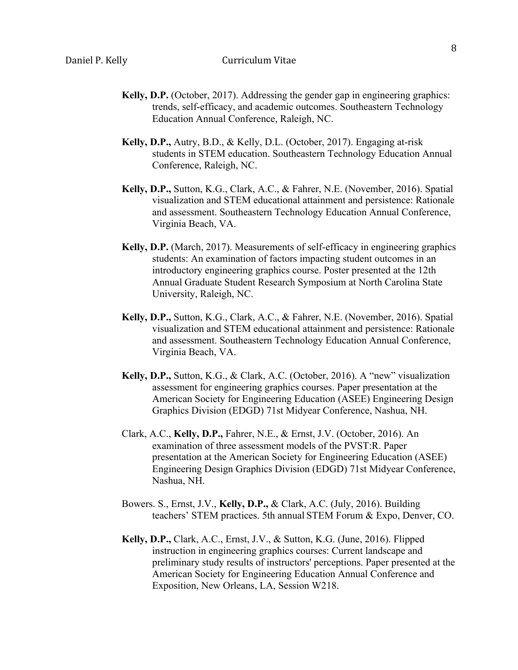- **Kelly, D.P.** (October, 2017). Addressing the gender gap in engineering graphics: trends, self-efficacy, and academic outcomes. Southeastern Technology Education Annual Conference, Raleigh, NC.
- **Kelly, D.P.,** Autry, B.D., & Kelly, D.L. (October, 2017). Engaging at-risk students in STEM education. Southeastern Technology Education Annual Conference, Raleigh, NC.
- **Kelly, D.P.,** Sutton, K.G., Clark, A.C., & Fahrer, N.E. (November, 2016). Spatial visualization and STEM educational attainment and persistence: Rationale and assessment. Southeastern Technology Education Annual Conference, Virginia Beach, VA.
- **Kelly, D.P.** (March, 2017). Measurements of self-efficacy in engineering graphics students: An examination of factors impacting student outcomes in an introductory engineering graphics course. Poster presented at the 12th Annual Graduate Student Research Symposium at North Carolina State University, Raleigh, NC.
- **Kelly, D.P.,** Sutton, K.G., Clark, A.C., & Fahrer, N.E. (November, 2016). Spatial visualization and STEM educational attainment and persistence: Rationale and assessment. Southeastern Technology Education Annual Conference, Virginia Beach, VA.
- **Kelly, D.P.,** Sutton, K.G., & Clark, A.C. (October, 2016). A "new" visualization assessment for engineering graphics courses. Paper presentation at the American Society for Engineering Education (ASEE) Engineering Design Graphics Division (EDGD) 71st Midyear Conference, Nashua, NH.
- Clark, A.C., **Kelly, D.P.,** Fahrer, N.E., & Ernst, J.V. (October, 2016). An examination of three assessment models of the PVST:R. Paper presentation at the American Society for Engineering Education (ASEE) Engineering Design Graphics Division (EDGD) 71st Midyear Conference, Nashua, NH.
- Bowers. S., Ernst, J.V., **Kelly, D.P.,** & Clark, A.C. (July, 2016). Building teachers' STEM practices. 5th annual STEM Forum & Expo, Denver, CO.
- **Kelly, D.P.,** Clark, A.C., Ernst, J.V., & Sutton, K.G. (June, 2016). Flipped instruction in engineering graphics courses: Current landscape and preliminary study results of instructors' perceptions. Paper presented at the American Society for Engineering Education Annual Conference and Exposition, New Orleans, LA, Session W218.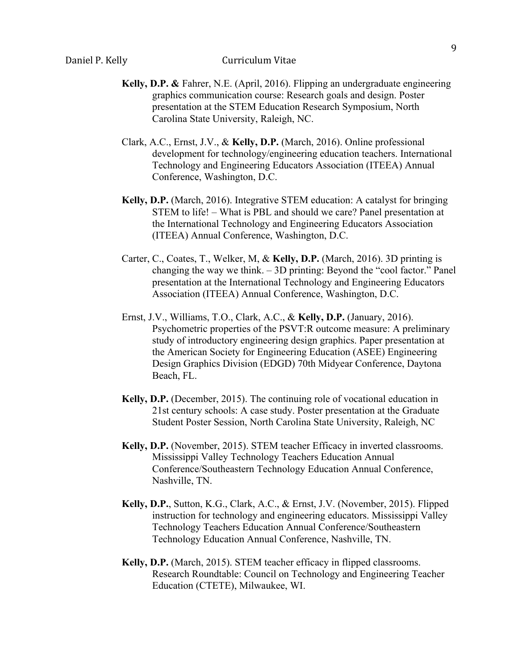- **Kelly, D.P. &** Fahrer, N.E. (April, 2016). Flipping an undergraduate engineering graphics communication course: Research goals and design. Poster presentation at the STEM Education Research Symposium, North Carolina State University, Raleigh, NC.
- Clark, A.C., Ernst, J.V., & **Kelly, D.P.** (March, 2016). Online professional development for technology/engineering education teachers. International Technology and Engineering Educators Association (ITEEA) Annual Conference, Washington, D.C.
- **Kelly, D.P.** (March, 2016). Integrative STEM education: A catalyst for bringing STEM to life! – What is PBL and should we care? Panel presentation at the International Technology and Engineering Educators Association (ITEEA) Annual Conference, Washington, D.C.
- Carter, C., Coates, T., Welker, M, & **Kelly, D.P.** (March, 2016). 3D printing is changing the way we think. – 3D printing: Beyond the "cool factor." Panel presentation at the International Technology and Engineering Educators Association (ITEEA) Annual Conference, Washington, D.C.
- Ernst, J.V., Williams, T.O., Clark, A.C., & **Kelly, D.P.** (January, 2016). Psychometric properties of the PSVT:R outcome measure: A preliminary study of introductory engineering design graphics. Paper presentation at the American Society for Engineering Education (ASEE) Engineering Design Graphics Division (EDGD) 70th Midyear Conference, Daytona Beach, FL.
- **Kelly, D.P.** (December, 2015). The continuing role of vocational education in 21st century schools: A case study. Poster presentation at the Graduate Student Poster Session, North Carolina State University, Raleigh, NC
- **Kelly, D.P.** (November, 2015). STEM teacher Efficacy in inverted classrooms. Mississippi Valley Technology Teachers Education Annual Conference/Southeastern Technology Education Annual Conference, Nashville, TN.
- **Kelly, D.P.**, Sutton, K.G., Clark, A.C., & Ernst, J.V. (November, 2015). Flipped instruction for technology and engineering educators. Mississippi Valley Technology Teachers Education Annual Conference/Southeastern Technology Education Annual Conference, Nashville, TN.
- **Kelly, D.P.** (March, 2015). STEM teacher efficacy in flipped classrooms. Research Roundtable: Council on Technology and Engineering Teacher Education (CTETE), Milwaukee, WI.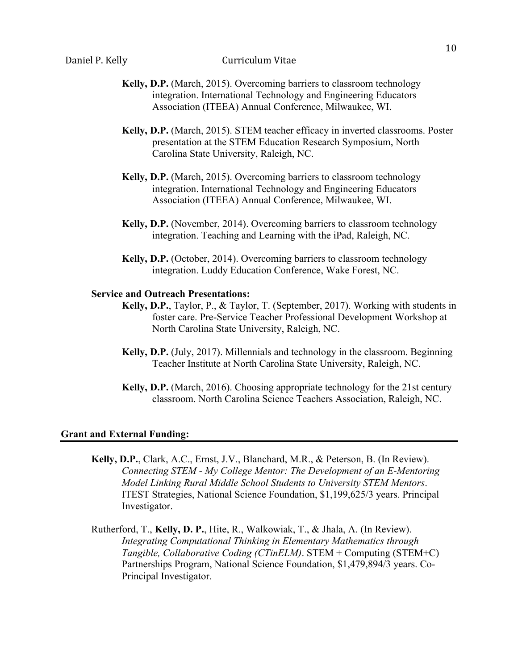- **Kelly, D.P.** (March, 2015). Overcoming barriers to classroom technology integration. International Technology and Engineering Educators Association (ITEEA) Annual Conference, Milwaukee, WI.
- **Kelly, D.P.** (March, 2015). STEM teacher efficacy in inverted classrooms. Poster presentation at the STEM Education Research Symposium, North Carolina State University, Raleigh, NC.
- **Kelly, D.P.** (March, 2015). Overcoming barriers to classroom technology integration. International Technology and Engineering Educators Association (ITEEA) Annual Conference, Milwaukee, WI.
- **Kelly, D.P.** (November, 2014). Overcoming barriers to classroom technology integration. Teaching and Learning with the iPad, Raleigh, NC.
- **Kelly, D.P.** (October, 2014). Overcoming barriers to classroom technology integration. Luddy Education Conference, Wake Forest, NC.

## **Service and Outreach Presentations:**

- **Kelly, D.P.**, Taylor, P., & Taylor, T. (September, 2017). Working with students in foster care. Pre-Service Teacher Professional Development Workshop at North Carolina State University, Raleigh, NC.
- **Kelly, D.P.** (July, 2017). Millennials and technology in the classroom. Beginning Teacher Institute at North Carolina State University, Raleigh, NC.
- **Kelly, D.P.** (March, 2016). Choosing appropriate technology for the 21st century classroom. North Carolina Science Teachers Association, Raleigh, NC.

## **Grant and External Funding:**

- **Kelly, D.P.**, Clark, A.C., Ernst, J.V., Blanchard, M.R., & Peterson, B. (In Review). *Connecting STEM - My College Mentor: The Development of an E-Mentoring Model Linking Rural Middle School Students to University STEM Mentors*. ITEST Strategies, National Science Foundation, \$1,199,625/3 years. Principal Investigator.
- Rutherford, T., **Kelly, D. P.**, Hite, R., Walkowiak, T., & Jhala, A. (In Review). *Integrating Computational Thinking in Elementary Mathematics through Tangible, Collaborative Coding (CTinELM)*. STEM + Computing (STEM+C) Partnerships Program, National Science Foundation, \$1,479,894/3 years. Co-Principal Investigator.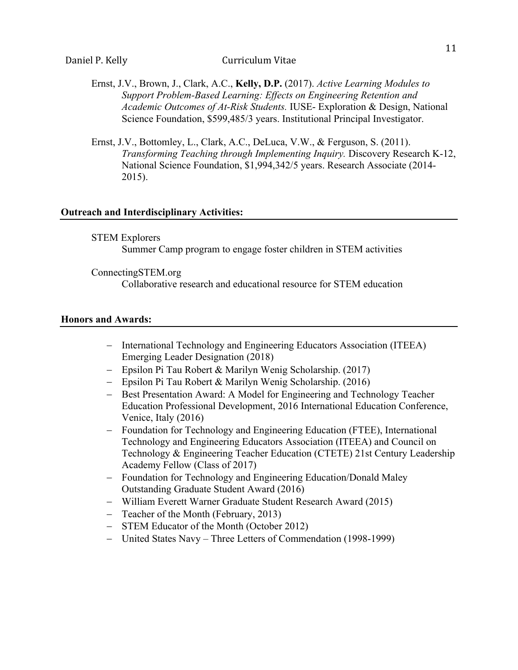- Ernst, J.V., Brown, J., Clark, A.C., **Kelly, D.P.** (2017). *Active Learning Modules to Support Problem-Based Learning: Effects on Engineering Retention and Academic Outcomes of At-Risk Students.* IUSE- Exploration & Design, National Science Foundation, \$599,485/3 years. Institutional Principal Investigator.
- Ernst, J.V., Bottomley, L., Clark, A.C., DeLuca, V.W., & Ferguson, S. (2011). *Transforming Teaching through Implementing Inquiry.* Discovery Research K-12, National Science Foundation, \$1,994,342/5 years. Research Associate (2014- 2015).

## **Outreach and Interdisciplinary Activities:**

- STEM Explorers Summer Camp program to engage foster children in STEM activities
- ConnectingSTEM.org

Collaborative research and educational resource for STEM education

## **Honors and Awards:**

- International Technology and Engineering Educators Association (ITEEA) Emerging Leader Designation (2018)
- Epsilon Pi Tau Robert & Marilyn Wenig Scholarship. (2017)
- Epsilon Pi Tau Robert & Marilyn Wenig Scholarship. (2016)
- Best Presentation Award: A Model for Engineering and Technology Teacher Education Professional Development, 2016 International Education Conference, Venice, Italy (2016)
- Foundation for Technology and Engineering Education (FTEE), International Technology and Engineering Educators Association (ITEEA) and Council on Technology & Engineering Teacher Education (CTETE) 21st Century Leadership Academy Fellow (Class of 2017)
- Foundation for Technology and Engineering Education/Donald Maley Outstanding Graduate Student Award (2016)
- William Everett Warner Graduate Student Research Award (2015)
- Teacher of the Month (February, 2013)
- STEM Educator of the Month (October 2012)
- United States Navy Three Letters of Commendation (1998-1999)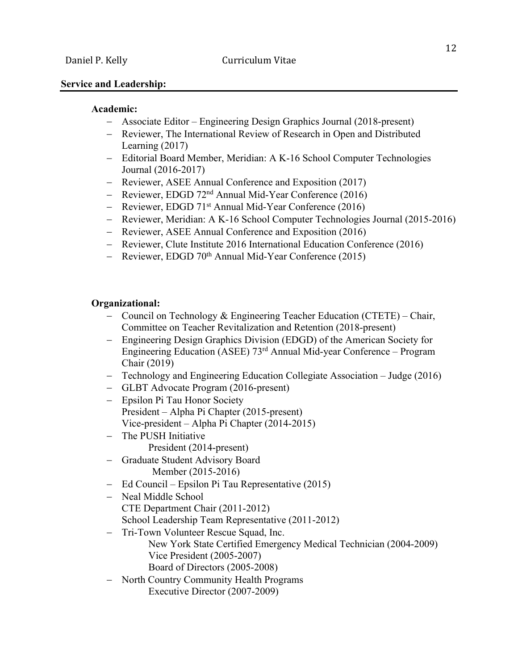## **Service and Leadership:**

#### **Academic:**

- Associate Editor Engineering Design Graphics Journal (2018-present)
- Reviewer, The International Review of Research in Open and Distributed Learning (2017)
- Editorial Board Member, Meridian: A K-16 School Computer Technologies Journal (2016-2017)
- Reviewer, ASEE Annual Conference and Exposition (2017)
- Reviewer, EDGD 72<sup>nd</sup> Annual Mid-Year Conference (2016)
- Reviewer, EDGD 71<sup>st</sup> Annual Mid-Year Conference (2016)
- Reviewer, Meridian: A K-16 School Computer Technologies Journal (2015-2016)
- Reviewer, ASEE Annual Conference and Exposition (2016)
- Reviewer, Clute Institute 2016 International Education Conference (2016)
- Reviewer, EDGD 70<sup>th</sup> Annual Mid-Year Conference (2015)

### **Organizational:**

- Council on Technology & Engineering Teacher Education (CTETE) Chair, Committee on Teacher Revitalization and Retention (2018-present)
- Engineering Design Graphics Division (EDGD) of the American Society for Engineering Education (ASEE) 73rd Annual Mid-year Conference – Program Chair (2019)
- Technology and Engineering Education Collegiate Association Judge (2016)
- GLBT Advocate Program (2016-present)
- Epsilon Pi Tau Honor Society President – Alpha Pi Chapter (2015-present) Vice-president – Alpha Pi Chapter (2014-2015)
- The PUSH Initiative President (2014-present)
- Graduate Student Advisory Board Member (2015-2016)
- Ed Council Epsilon Pi Tau Representative (2015)
- Neal Middle School CTE Department Chair (2011-2012) School Leadership Team Representative (2011-2012)
- Tri-Town Volunteer Rescue Squad, Inc.
	- New York State Certified Emergency Medical Technician (2004-2009) Vice President (2005-2007) Board of Directors (2005-2008)
- North Country Community Health Programs Executive Director (2007-2009)